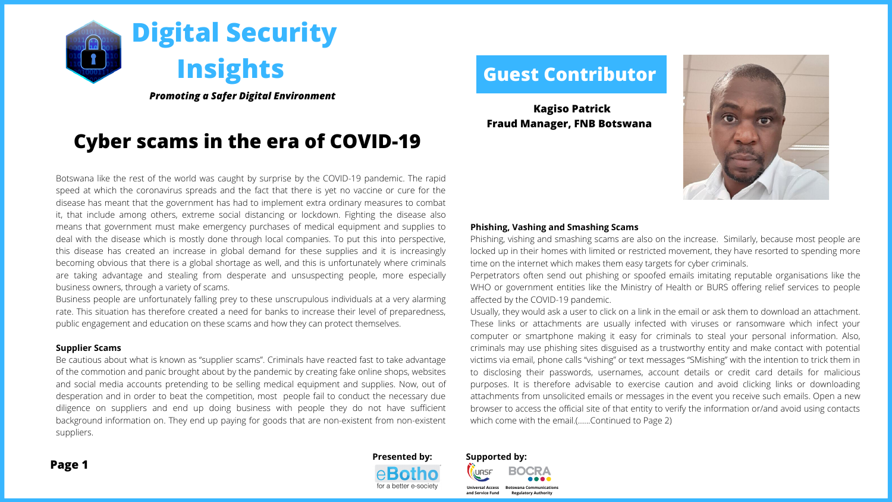# **Guest Contributor**



**Kagiso Patrick Fraud Manager, FNB Botswana** 

Botswana like the rest of the world was caught by surprise by the COVID-19 pandemic. The rapid speed at which the coronavirus spreads and the fact that there is yet no vaccine or cure for the disease has meant that the government has had to implement extra ordinary measures to combat it, that include among others, extreme social distancing or lockdown. Fighting the disease also means that government must make emergency purchases of medical equipment and supplies to deal with the disease which is mostly done through local companies. To put this into perspective, this disease has created an increase in global demand for these supplies and it is increasingly becoming obvious that there is a global shortage as well, and this is unfortunately where criminals are taking advantage and stealing from desperate and unsuspecting people, more especially business owners, through a variety of scams.

Phishing, vishing and smashing scams are also on the increase. Similarly, because most people are locked up in their homes with limited or restricted movement, they have resorted to spending more time on the internet which makes them easy targets for cyber criminals. Perpetrators often send out phishing or spoofed emails imitating reputable organisations like the WHO or government entities like the Ministry of Health or BURS offering relief services to people affected by the COVID-19 pandemic. Usually, they would ask a user to click on a link in the email or ask them to download an attachment. These links or attachments are usually infected with viruses or ransomware which infect your computer or smartphone making it easy for criminals to steal your personal information. Also, criminals may use phishing sites disguised as a trustworthy entity and make contact with potential victims via email, phone calls "vishing" or text messages "SMishing" with the intention to trick them in to disclosing their passwords, usernames, account details or credit card details for malicious purposes. It is therefore advisable to exercise caution and avoid clicking links or downloading attachments from unsolicited emails or messages in the event you receive such emails. Open a new browser to access the official site of that entity to verify the information or/and avoid using contacts which come with the email.(......Continued to Page 2)

Business people are unfortunately falling prey to these unscrupulous individuals at a very alarming rate. This situation has therefore created a need for banks to increase their level of preparedness, public engagement and education on these scams and how they can protect themselves.

### **Supplier Scams**

Be cautious about what is known as "supplier scams". Criminals have reacted fast to take advantage of the commotion and panic brought about by the pandemic by creating fake online shops, websites and social media accounts pretending to be selling medical equipment and supplies. Now, out of desperation and in order to beat the competition, most people fail to conduct the necessary due diligence on suppliers and end up doing business with people they do not have sufficient background information on. They end up paying for goods that are non-existent from non-existent suppliers.

## **Phishing, Vashing and Smashing Scams**

*Promoting a Safer Digital Environment*

**and Service Fund**



**Universal Access Botswana Communications**

**Regulatory Authority**



# **Cyber scams in the era of COVID-19**

**Page 1**